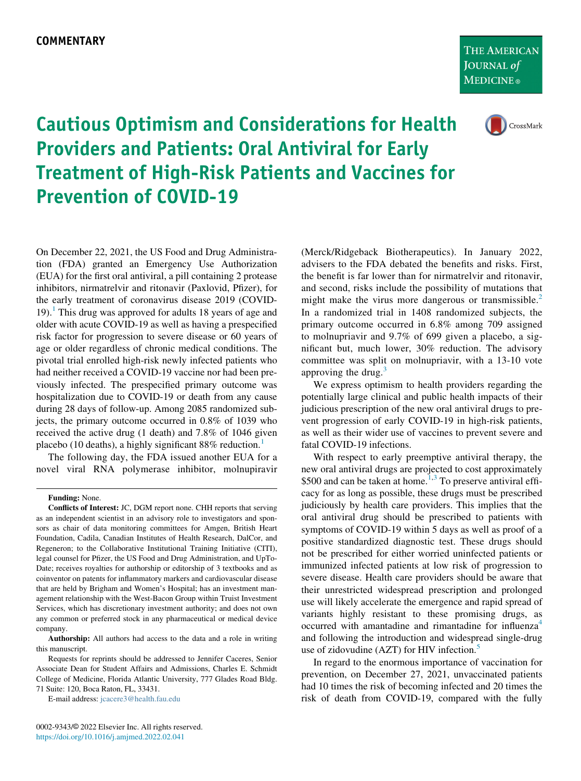CrossMark

## Cautious Optimism and Considerations for Health Providers and Patients: Oral Antiviral for Early Treatment of High-Risk Patients and Vaccines for Prevention of COVID-19

On December 22, 2021, the US Food and Drug Administration (FDA) granted an Emergency Use Authorization (EUA) for the first oral antiviral, a pill containing 2 protease inhibitors, nirmatrelvir and ritonavir (Paxlovid, Pfizer), for the early treatment of coronavirus disease 2019 (COVID-[1](#page-1-0)9).<sup>1</sup> This drug was approved for adults 18 years of age and older with acute COVID-19 as well as having a prespecified risk factor for progression to severe disease or 60 years of age or older regardless of chronic medical conditions. The pivotal trial enrolled high-risk newly infected patients who had neither received a COVID-19 vaccine nor had been previously infected. The prespecified primary outcome was hospitalization due to COVID-19 or death from any cause during 28 days of follow-up. Among 2085 randomized subjects, the primary outcome occurred in 0.8% of 1039 who received the active drug (1 death) and 7.8% of 1046 given placebo ([1](#page-1-0)0 deaths), a highly significant  $88\%$  reduction.<sup>1</sup>

The following day, the FDA issued another EUA for a novel viral RNA polymerase inhibitor, molnupiravir

**Authorship:** All authors had access to the data and a role in writing this manuscript.

E-mail address: [jcacere3@health.fau.edu](mailto:jcacere3@health.fau.edu)

(Merck/Ridgeback Biotherapeutics). In January 2022, advisers to the FDA debated the benefits and risks. First, the benefit is far lower than for nirmatrelvir and ritonavir, and second, risks include the possibility of mutations that might make the virus more dangerous or transmissible. $<sup>2</sup>$ </sup> In a randomized trial in 1408 randomized subjects, the primary outcome occurred in 6.8% among 709 assigned to molnupriavir and 9.7% of 699 given a placebo, a significant but, much lower, 30% reduction. The advisory committee was split on molnupriavir, with a 13-10 vote approving the drug. $3$ 

We express optimism to health providers regarding the potentially large clinical and public health impacts of their judicious prescription of the new oral antiviral drugs to prevent progression of early COVID-19 in high-risk patients, as well as their wider use of vaccines to prevent severe and fatal COVID-19 infections.

With respect to early preemptive antiviral therapy, the new oral antiviral drugs are projected to cost approximately \$500 and can be taken at home.<sup>1,[3](#page-1-2)</sup> To preserve antiviral efficacy for as long as possible, these drugs must be prescribed judiciously by health care providers. This implies that the oral antiviral drug should be prescribed to patients with symptoms of COVID-19 within 5 days as well as proof of a positive standardized diagnostic test. These drugs should not be prescribed for either worried uninfected patients or immunized infected patients at low risk of progression to severe disease. Health care providers should be aware that their unrestricted widespread prescription and prolonged use will likely accelerate the emergence and rapid spread of variants highly resistant to these promising drugs, as occurred with amantadine and rimantadine for influenza<sup>[4](#page-1-3)</sup> and following the introduction and widespread single-drug use of zidovudine (AZT) for HIV infection.<sup>[5](#page-1-4)</sup>

In regard to the enormous importance of vaccination for prevention, on December 27, 2021, unvaccinated patients had 10 times the risk of becoming infected and 20 times the risk of death from COVID-19, compared with the fully

Funding: None.

Conflicts of Interest: JC, DGM report none. CHH reports that serving as an independent scientist in an advisory role to investigators and sponsors as chair of data monitoring committees for Amgen, British Heart Foundation, Cadila, Canadian Institutes of Health Research, DalCor, and Regeneron; to the Collaborative Institutional Training Initiative (CITI), legal counsel for Pfizer, the US Food and Drug Administration, and UpTo-Date; receives royalties for authorship or editorship of 3 textbooks and as coinventor on patents for inflammatory markers and cardiovascular disease that are held by Brigham and Women's Hospital; has an investment management relationship with the West-Bacon Group within Truist Investment Services, which has discretionary investment authority; and does not own any common or preferred stock in any pharmaceutical or medical device company.

Requests for reprints should be addressed to Jennifer Caceres, Senior Associate Dean for Student Affairs and Admissions, Charles E. Schmidt College of Medicine, Florida Atlantic University, 777 Glades Road Bldg. 71 Suite: 120, Boca Raton, FL, 33431.